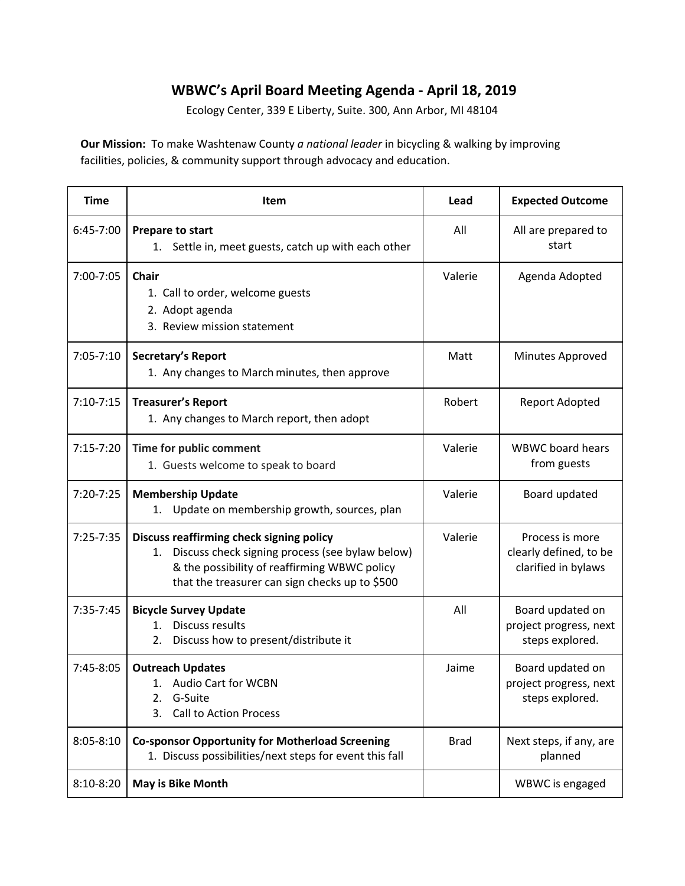## **WBWC's April Board Meeting Agenda - April 18, 2019**

Ecology Center, 339 E Liberty, Suite. 300, Ann Arbor, MI 48104

**Our Mission:** To make Washtenaw County *a national leader* in bicycling & walking by improving facilities, policies, & community support through advocacy and education.

| <b>Time</b>   | Item                                                                                                                                                                                                | Lead        | <b>Expected Outcome</b>                                          |
|---------------|-----------------------------------------------------------------------------------------------------------------------------------------------------------------------------------------------------|-------------|------------------------------------------------------------------|
| 6:45-7:00     | Prepare to start<br>Settle in, meet guests, catch up with each other<br>1.                                                                                                                          | All         | All are prepared to<br>start                                     |
| 7:00-7:05     | <b>Chair</b><br>1. Call to order, welcome guests<br>2. Adopt agenda<br>3. Review mission statement                                                                                                  | Valerie     | Agenda Adopted                                                   |
| $7:05 - 7:10$ | Secretary's Report<br>1. Any changes to March minutes, then approve                                                                                                                                 | Matt        | Minutes Approved                                                 |
| $7:10-7:15$   | <b>Treasurer's Report</b><br>1. Any changes to March report, then adopt                                                                                                                             | Robert      | Report Adopted                                                   |
| $7:15-7:20$   | Time for public comment<br>1. Guests welcome to speak to board                                                                                                                                      | Valerie     | <b>WBWC</b> board hears<br>from guests                           |
| 7:20-7:25     | <b>Membership Update</b><br>Update on membership growth, sources, plan<br>1.                                                                                                                        | Valerie     | Board updated                                                    |
| $7:25 - 7:35$ | Discuss reaffirming check signing policy<br>Discuss check signing process (see bylaw below)<br>1.<br>& the possibility of reaffirming WBWC policy<br>that the treasurer can sign checks up to \$500 | Valerie     | Process is more<br>clearly defined, to be<br>clarified in bylaws |
| 7:35-7:45     | <b>Bicycle Survey Update</b><br>Discuss results<br>$1_{-}$<br>Discuss how to present/distribute it<br>2.                                                                                            | All         | Board updated on<br>project progress, next<br>steps explored.    |
| 7:45-8:05     | <b>Outreach Updates</b><br>1. Audio Cart for WCBN<br>G-Suite<br>2.<br>3.<br><b>Call to Action Process</b>                                                                                           | Jaime       | Board updated on<br>project progress, next<br>steps explored.    |
| $8:05 - 8:10$ | <b>Co-sponsor Opportunity for Motherload Screening</b><br>1. Discuss possibilities/next steps for event this fall                                                                                   | <b>Brad</b> | Next steps, if any, are<br>planned                               |
| $8:10-8:20$   | May is Bike Month                                                                                                                                                                                   |             | WBWC is engaged                                                  |